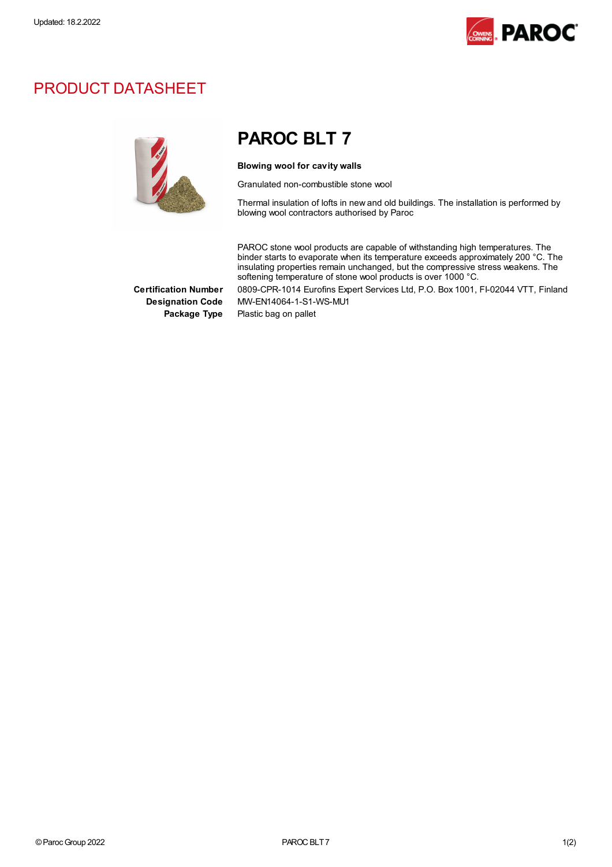

## PRODUCT DATASHEET



## PAROC BLT 7

Blowing wool for cavity walls

Granulated non-combustible stone wool

Thermal insulation of lofts in new and old buildings. The installation is performed by blowing wool contractors authorised by Paroc

PAROC stone wool products are capable of withstanding high temperatures. The binder starts to evaporate when its temperature exceeds approximately 200 °C. The insulating properties remain unchanged, but the compressive stress weakens. The softening temperature of stone wool products is over 1000 °C.

Certification Number 0809-CPR-1014 Eurofins Expert Services Ltd, P.O. Box 1001, FI-02044 VTT, Finland Designation Code MW-EN14064-1-S1-WS-MU1

Package Type Plastic bag on pallet